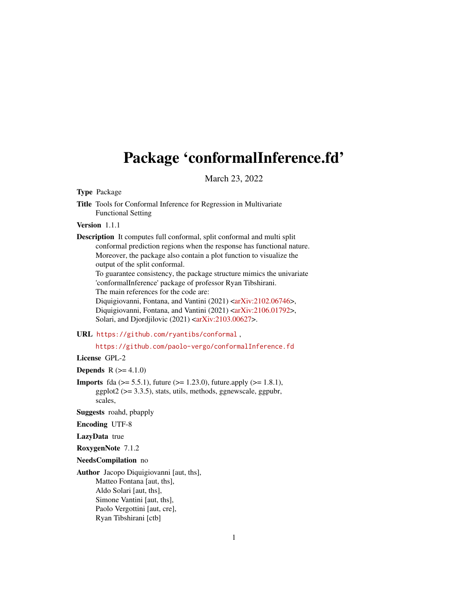## <span id="page-0-0"></span>Package 'conformalInference.fd'

March 23, 2022

Type Package

Title Tools for Conformal Inference for Regression in Multivariate Functional Setting

Version 1.1.1

Description It computes full conformal, split conformal and multi split conformal prediction regions when the response has functional nature. Moreover, the package also contain a plot function to visualize the output of the split conformal.

To guarantee consistency, the package structure mimics the univariate 'conformalInference' package of professor Ryan Tibshirani. The main references for the code are:

Diquigiovanni, Fontana, and Vantini (2021) [<arXiv:2102.06746>](https://arxiv.org/abs/2102.06746), Diquigiovanni, Fontana, and Vantini (2021) [<arXiv:2106.01792>](https://arxiv.org/abs/2106.01792), Solari, and Djordjilovic  $(2021)$  [<arXiv:2103.00627>](https://arxiv.org/abs/2103.00627).

#### URL <https://github.com/ryantibs/conformal> ,

<https://github.com/paolo-vergo/conformalInference.fd>

License GPL-2

**Depends**  $R (= 4.1.0)$ 

**Imports** fda ( $>= 5.5.1$ ), future ( $>= 1.23.0$ ), future.apply ( $>= 1.8.1$ ),  $ggplot2 (> = 3.3.5)$ , stats, utils, methods, ggnewscale, ggpubr, scales,

Suggests roahd, pbapply

Encoding UTF-8

LazyData true

RoxygenNote 7.1.2

NeedsCompilation no

Author Jacopo Diquigiovanni [aut, ths], Matteo Fontana [aut, ths], Aldo Solari [aut, ths], Simone Vantini [aut, ths], Paolo Vergottini [aut, cre], Ryan Tibshirani [ctb]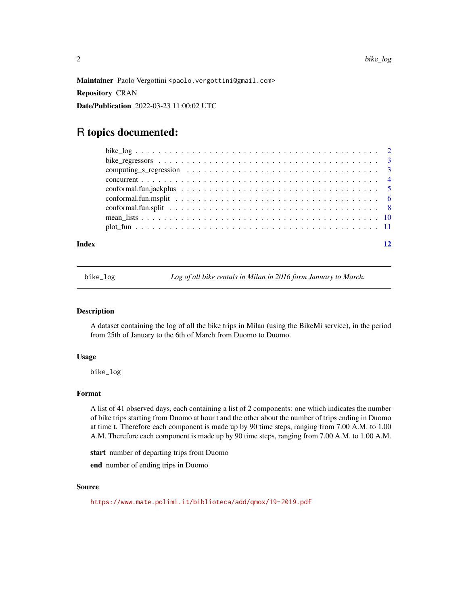<span id="page-1-0"></span>Maintainer Paolo Vergottini <paolo.vergottini@gmail.com>

Repository CRAN

Date/Publication 2022-03-23 11:00:02 UTC

### R topics documented:

| Index |  |
|-------|--|
|       |  |
|       |  |
|       |  |
|       |  |
|       |  |
|       |  |
|       |  |
|       |  |
|       |  |

bike\_log *Log of all bike rentals in Milan in 2016 form January to March.*

#### Description

A dataset containing the log of all the bike trips in Milan (using the BikeMi service), in the period from 25th of January to the 6th of March from Duomo to Duomo.

#### Usage

bike\_log

#### Format

A list of 41 observed days, each containing a list of 2 components: one which indicates the number of bike trips starting from Duomo at hour t and the other about the number of trips ending in Duomo at time t. Therefore each component is made up by 90 time steps, ranging from 7.00 A.M. to 1.00 A.M. Therefore each component is made up by 90 time steps, ranging from 7.00 A.M. to 1.00 A.M.

start number of departing trips from Duomo

end number of ending trips in Duomo

#### Source

```
https://www.mate.polimi.it/biblioteca/add/qmox/19-2019.pdf
```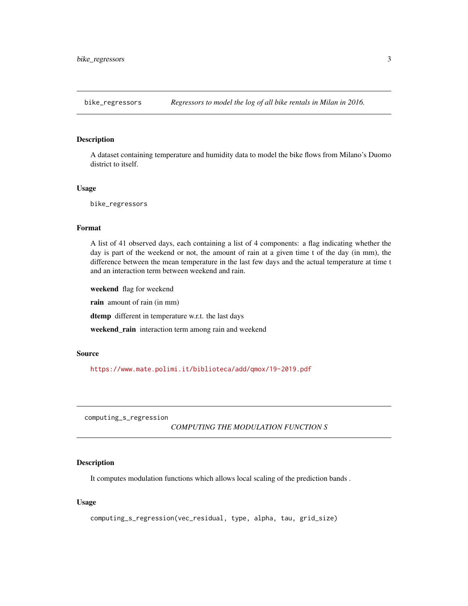<span id="page-2-0"></span>

#### Description

A dataset containing temperature and humidity data to model the bike flows from Milano's Duomo district to itself.

#### Usage

bike\_regressors

#### Format

A list of 41 observed days, each containing a list of 4 components: a flag indicating whether the day is part of the weekend or not, the amount of rain at a given time t of the day (in mm), the difference between the mean temperature in the last few days and the actual temperature at time t and an interaction term between weekend and rain.

weekend flag for weekend rain amount of rain (in mm) dtemp different in temperature w.r.t. the last days weekend\_rain interaction term among rain and weekend

#### Source

<https://www.mate.polimi.it/biblioteca/add/qmox/19-2019.pdf>

computing\_s\_regression

*COMPUTING THE MODULATION FUNCTION S*

#### Description

It computes modulation functions which allows local scaling of the prediction bands .

#### Usage

```
computing_s_regression(vec_residual, type, alpha, tau, grid_size)
```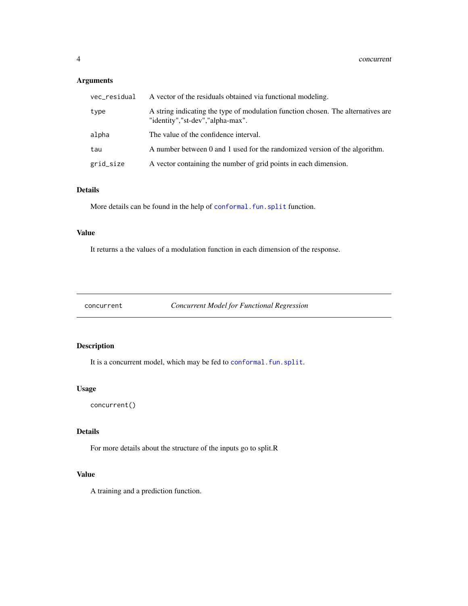#### <span id="page-3-0"></span>Arguments

| vec_residual | A vector of the residuals obtained via functional modeling.                                                          |
|--------------|----------------------------------------------------------------------------------------------------------------------|
| type         | A string indicating the type of modulation function chosen. The alternatives are<br>"identity","st-dev","alpha-max". |
| alpha        | The value of the confidence interval.                                                                                |
| tau          | A number between 0 and 1 used for the randomized version of the algorithm.                                           |
| grid_size    | A vector containing the number of grid points in each dimension.                                                     |

#### Details

More details can be found in the help of conformal. fun. split function.

#### Value

It returns a the values of a modulation function in each dimension of the response.

concurrent *Concurrent Model for Functional Regression*

#### Description

It is a concurrent model, which may be fed to [conformal.fun.split](#page-7-1).

#### Usage

concurrent()

#### Details

For more details about the structure of the inputs go to split.R

#### Value

A training and a prediction function.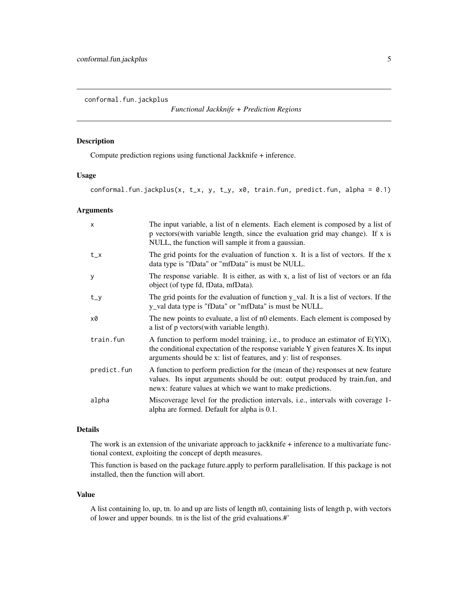<span id="page-4-1"></span><span id="page-4-0"></span>conformal.fun.jackplus

*Functional Jackknife + Prediction Regions*

#### Description

Compute prediction regions using functional Jackknife + inference.

#### Usage

conformal.fun.jackplus(x, t\_x, y, t\_y, x0, train.fun, predict.fun, alpha =  $0.1$ )

#### Arguments

| $\times$    | The input variable, a list of n elements. Each element is composed by a list of<br>p vectors (with variable length, since the evaluation grid may change). If x is<br>NULL, the function will sample it from a gaussian.                      |
|-------------|-----------------------------------------------------------------------------------------------------------------------------------------------------------------------------------------------------------------------------------------------|
| $t_{-}x$    | The grid points for the evaluation of function x. It is a list of vectors. If the x<br>data type is "fData" or "mfData" is must be NULL.                                                                                                      |
| y           | The response variable. It is either, as with x, a list of list of vectors or an fda<br>object (of type fd, fData, mfData).                                                                                                                    |
| $t_y$       | The grid points for the evaluation of function $y$ val. It is a list of vectors. If the<br>y_val data type is "fData" or "mfData" is must be NULL.                                                                                            |
| x0          | The new points to evaluate, a list of n0 elements. Each element is composed by<br>a list of p vectors (with variable length).                                                                                                                 |
| train.fun   | A function to perform model training, i.e., to produce an estimator of $E(Y X)$ ,<br>the conditional expectation of the response variable Y given features X. Its input<br>arguments should be x: list of features, and y: list of responses. |
| predict.fun | A function to perform prediction for the (mean of the) responses at new feature<br>values. Its input arguments should be out: output produced by train.fun, and<br>news: feature values at which we want to make predictions.                 |
| alpha       | Miscoverage level for the prediction intervals, <i>i.e.</i> , intervals with coverage 1-<br>alpha are formed. Default for alpha is 0.1.                                                                                                       |

#### Details

The work is an extension of the univariate approach to jackknife + inference to a multivariate functional context, exploiting the concept of depth measures.

This function is based on the package future.apply to perform parallelisation. If this package is not installed, then the function will abort.

#### Value

A list containing lo, up, tn. lo and up are lists of length n0, containing lists of length p, with vectors of lower and upper bounds. tn is the list of the grid evaluations.#'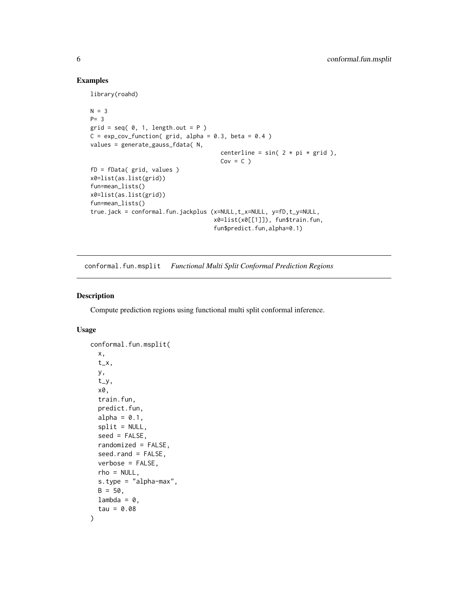#### Examples

library(roahd)

```
N = 3P= 3
grid = seq( 0, 1, length.out = P )C = \exp_{\text{cov}_{\text{t}}}function(grid, alpha = 0.3, beta = 0.4)
values = generate_gauss_fdata( N,
                                       centerline = sin(2 * pi * grid),
                                       Cov = C)
fD = fData( grid, values )
x0=list(as.list(grid))
fun=mean_lists()
x0=list(as.list(grid))
fun=mean_lists()
true.jack = conformal.fun.jackplus (x=NULL,t_x=NULL, y=fD,t_y=NULL,
                                     x0=list(x0[[1]]), fun$train.fun,
                                      fun$predict.fun,alpha=0.1)
```
<span id="page-5-1"></span>conformal.fun.msplit *Functional Multi Split Conformal Prediction Regions*

#### Description

Compute prediction regions using functional multi split conformal inference.

#### Usage

```
conformal.fun.msplit(
  x,
  t_x,
 y,
  t_y,
  x0,
  train.fun,
  predict.fun,
  alpha = 0.1,
  split = NULL,seed = FALSE,randomized = FALSE,
  seed.rand = FALSE,
  verbose = FALSE,
  rho = NULL,s.type = "alpha-max",
 B = 50.
 lambda = 0,
  tau = 0.08)
```
<span id="page-5-0"></span>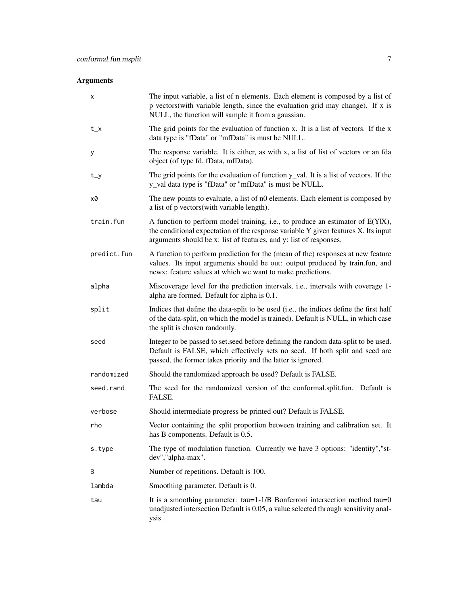#### Arguments

| х           | The input variable, a list of n elements. Each element is composed by a list of<br>p vectors(with variable length, since the evaluation grid may change). If x is<br>NULL, the function will sample it from a gaussian.                       |
|-------------|-----------------------------------------------------------------------------------------------------------------------------------------------------------------------------------------------------------------------------------------------|
| $t_{-}x$    | The grid points for the evaluation of function x. It is a list of vectors. If the x<br>data type is "fData" or "mfData" is must be NULL.                                                                                                      |
| У           | The response variable. It is either, as with x, a list of list of vectors or an fda<br>object (of type fd, fData, mfData).                                                                                                                    |
| $t_y$       | The grid points for the evaluation of function y_val. It is a list of vectors. If the<br>y_val data type is "fData" or "mfData" is must be NULL.                                                                                              |
| x0          | The new points to evaluate, a list of n0 elements. Each element is composed by<br>a list of p vectors(with variable length).                                                                                                                  |
| train.fun   | A function to perform model training, i.e., to produce an estimator of $E(Y X)$ ,<br>the conditional expectation of the response variable Y given features X. Its input<br>arguments should be x: list of features, and y: list of responses. |
| predict.fun | A function to perform prediction for the (mean of the) responses at new feature<br>values. Its input arguments should be out: output produced by train.fun, and<br>newx: feature values at which we want to make predictions.                 |
| alpha       | Miscoverage level for the prediction intervals, i.e., intervals with coverage 1-<br>alpha are formed. Default for alpha is 0.1.                                                                                                               |
| split       | Indices that define the data-split to be used (i.e., the indices define the first half<br>of the data-split, on which the model is trained). Default is NULL, in which case<br>the split is chosen randomly.                                  |
| seed        | Integer to be passed to set.seed before defining the random data-split to be used.<br>Default is FALSE, which effectively sets no seed. If both split and seed are<br>passed, the former takes priority and the latter is ignored.            |
| randomized  | Should the randomized approach be used? Default is FALSE.                                                                                                                                                                                     |
| seed.rand   | The seed for the randomized version of the conformal split fun. Default is<br>FALSE.                                                                                                                                                          |
| verbose     | Should intermediate progress be printed out? Default is FALSE.                                                                                                                                                                                |
| rho         | Vector containing the split proportion between training and calibration set. It<br>has B components. Default is 0.5.                                                                                                                          |
| s.type      | The type of modulation function. Currently we have 3 options: "identity", "st-<br>dev","alpha-max".                                                                                                                                           |
| B           | Number of repetitions. Default is 100.                                                                                                                                                                                                        |
| lambda      | Smoothing parameter. Default is 0.                                                                                                                                                                                                            |
| tau         | It is a smoothing parameter: $tau=1-1/B$ Bonferroni intersection method $tau=0$<br>unadjusted intersection Default is 0.05, a value selected through sensitivity anal-<br>ysis.                                                               |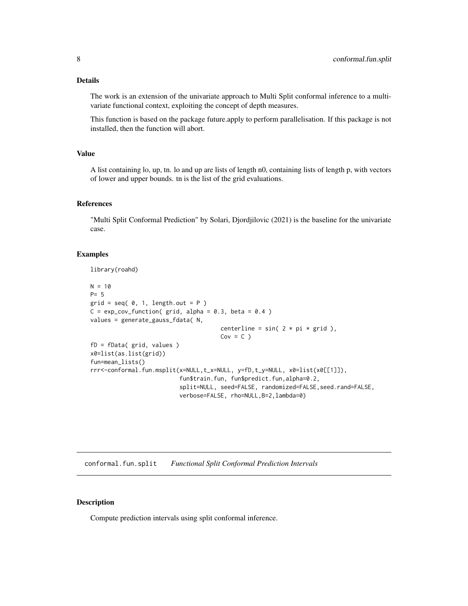#### <span id="page-7-0"></span>Details

The work is an extension of the univariate approach to Multi Split conformal inference to a multivariate functional context, exploiting the concept of depth measures.

This function is based on the package future.apply to perform parallelisation. If this package is not installed, then the function will abort.

#### Value

A list containing lo, up, tn. lo and up are lists of length n0, containing lists of length p, with vectors of lower and upper bounds. tn is the list of the grid evaluations.

#### References

"Multi Split Conformal Prediction" by Solari, Djordjilovic (2021) is the baseline for the univariate case.

#### Examples

library(roahd)

```
N = 10P= 5
grid = seq( 0, 1, length.out = P )C = \exp_{\text{cov}_{\text{t}}}function(grid, alpha = 0.3, beta = 0.4)
values = generate_gauss_fdata( N,
                                       centerline = sin(2 * pi * grid),
                                       Cov = C)
fD = fData( grid, values )
x0=list(as.list(grid))
fun=mean_lists()
rrr<-conformal.fun.msplit(x=NULL,t_x=NULL, y=fD,t_y=NULL, x0=list(x0[[1]]),
                           fun$train.fun, fun$predict.fun,alpha=0.2,
                           split=NULL, seed=FALSE, randomized=FALSE, seed.rand=FALSE,
                           verbose=FALSE, rho=NULL,B=2,lambda=0)
```
<span id="page-7-1"></span>conformal.fun.split *Functional Split Conformal Prediction Intervals*

#### Description

Compute prediction intervals using split conformal inference.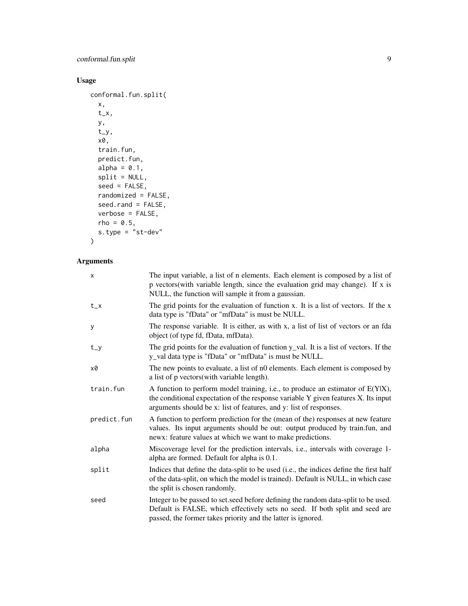#### Usage

```
conformal.fun.split(
 x,
  t_x,
 y,
  t_y,
 x0,
  train.fun,
 predict.fun,
 alpha = 0.1,
  split = NULL,seed = FALSE,
 randomized = FALSE,
  seed.rand = FALSE,
 verbose = FALSE,
 rho = 0.5,
 s.type = sst-dev"
\mathcal{L}
```
#### Arguments

| X           | The input variable, a list of n elements. Each element is composed by a list of<br>p vectors(with variable length, since the evaluation grid may change). If x is<br>NULL, the function will sample it from a gaussian.                       |
|-------------|-----------------------------------------------------------------------------------------------------------------------------------------------------------------------------------------------------------------------------------------------|
| $t_{-}x$    | The grid points for the evaluation of function x. It is a list of vectors. If the x<br>data type is "fData" or "mfData" is must be NULL.                                                                                                      |
| y           | The response variable. It is either, as with x, a list of list of vectors or an fda<br>object (of type fd, fData, mfData).                                                                                                                    |
| $t_y$       | The grid points for the evaluation of function y_val. It is a list of vectors. If the<br>y_val data type is "fData" or "mfData" is must be NULL.                                                                                              |
| х0          | The new points to evaluate, a list of n0 elements. Each element is composed by<br>a list of p vectors(with variable length).                                                                                                                  |
| train.fun   | A function to perform model training, i.e., to produce an estimator of $E(Y X)$ ,<br>the conditional expectation of the response variable Y given features X. Its input<br>arguments should be x: list of features, and y: list of responses. |
| predict.fun | A function to perform prediction for the (mean of the) responses at new feature<br>values. Its input arguments should be out: output produced by train.fun, and<br>newx: feature values at which we want to make predictions.                 |
| alpha       | Miscoverage level for the prediction intervals, i.e., intervals with coverage 1-<br>alpha are formed. Default for alpha is 0.1.                                                                                                               |
| split       | Indices that define the data-split to be used (i.e., the indices define the first half<br>of the data-split, on which the model is trained). Default is NULL, in which case<br>the split is chosen randomly.                                  |
| seed        | Integer to be passed to set, seed before defining the random data-split to be used.<br>Default is FALSE, which effectively sets no seed. If both split and seed are<br>passed, the former takes priority and the latter is ignored.           |
|             |                                                                                                                                                                                                                                               |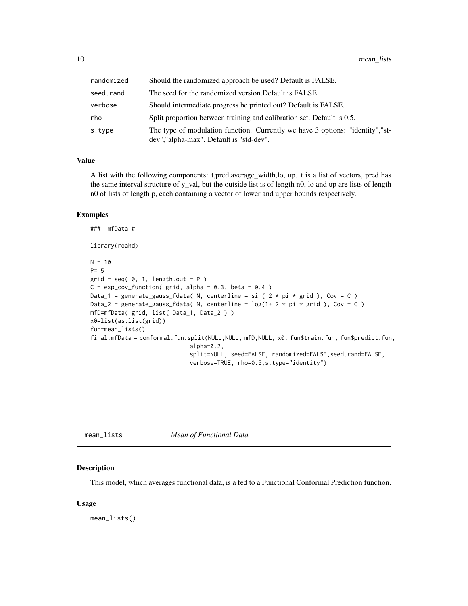<span id="page-9-0"></span>

| randomized | Should the randomized approach be used? Default is FALSE.                                                                  |
|------------|----------------------------------------------------------------------------------------------------------------------------|
| seed.rand  | The seed for the randomized version. Default is FALSE.                                                                     |
| verbose    | Should intermediate progress be printed out? Default is FALSE.                                                             |
| rho        | Split proportion between training and calibration set. Default is 0.5.                                                     |
| s.type     | The type of modulation function. Currently we have 3 options: "identity", "st-<br>dev", "alpha-max". Default is "std-dev". |

#### Value

A list with the following components: t,pred,average\_width,lo, up. t is a list of vectors, pred has the same interval structure of y\_val, but the outside list is of length n0, lo and up are lists of length n0 of lists of length p, each containing a vector of lower and upper bounds respectively.

#### Examples

```
### mfData #
library(roahd)
N = 10P= 5
grid = seq( 0, 1, length.out = P )C = \exp_{\text{cov}_{\text{t}}}function(grid, alpha = 0.3, beta = 0.4)
Data_1 = generate_gauss_fdata( N, centerline = sin( 2 * pi * grid), Cov = C)
Data_2 = generate_gauss_fdata( N, centerline = \log(1+ 2 \times \pi) \times \text{grid}), Cov = C)
mfD=mfData( grid, list( Data_1, Data_2 ) )
x0=list(as.list(grid))
fun=mean_lists()
final.mfData = conformal.fun.split(NULL,NULL, mfD,NULL, x0, fun$train.fun, fun$predict.fun,
                               alpha=0.2,
                               split=NULL, seed=FALSE, randomized=FALSE, seed.rand=FALSE,
                               verbose=TRUE, rho=0.5,s.type="identity")
```

| mean lists | Mean of Functional Data |  |
|------------|-------------------------|--|
|------------|-------------------------|--|

#### Description

This model, which averages functional data, is a fed to a Functional Conformal Prediction function.

#### Usage

mean\_lists()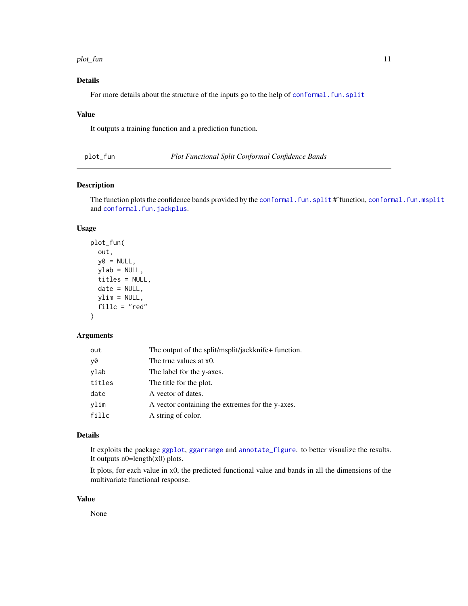#### <span id="page-10-0"></span>plot\_fun 11

#### Details

For more details about the structure of the inputs go to the help of conformal. fun. split

#### Value

It outputs a training function and a prediction function.

plot\_fun *Plot Functional Split Conformal Confidence Bands*

#### Description

The function plots the confidence bands provided by the [conformal.fun.split](#page-7-1) #'function, [conformal.fun.msplit](#page-5-1) and [conformal.fun.jackplus](#page-4-1).

#### Usage

```
plot_fun(
  out,
 y@ = NULL,ylab = NULL,
  titles = NULL,
  date = NULL,ylim = NULL,
  fillc = "red"
)
```
#### Arguments

| out    | The output of the split/msplit/jackknife+ function. |
|--------|-----------------------------------------------------|
| y0     | The true values at x0.                              |
| ylab   | The label for the y-axes.                           |
| titles | The title for the plot.                             |
| date   | A vector of dates.                                  |
| vlim   | A vector containing the extremes for the y-axes.    |
| fillc  | A string of color.                                  |

#### Details

It exploits the package [ggplot](#page-0-0), [ggarrange](#page-0-0) and [annotate\\_figure](#page-0-0). to better visualize the results. It outputs  $n0$ =length(x0) plots.

It plots, for each value in x0, the predicted functional value and bands in all the dimensions of the multivariate functional response.

#### Value

None